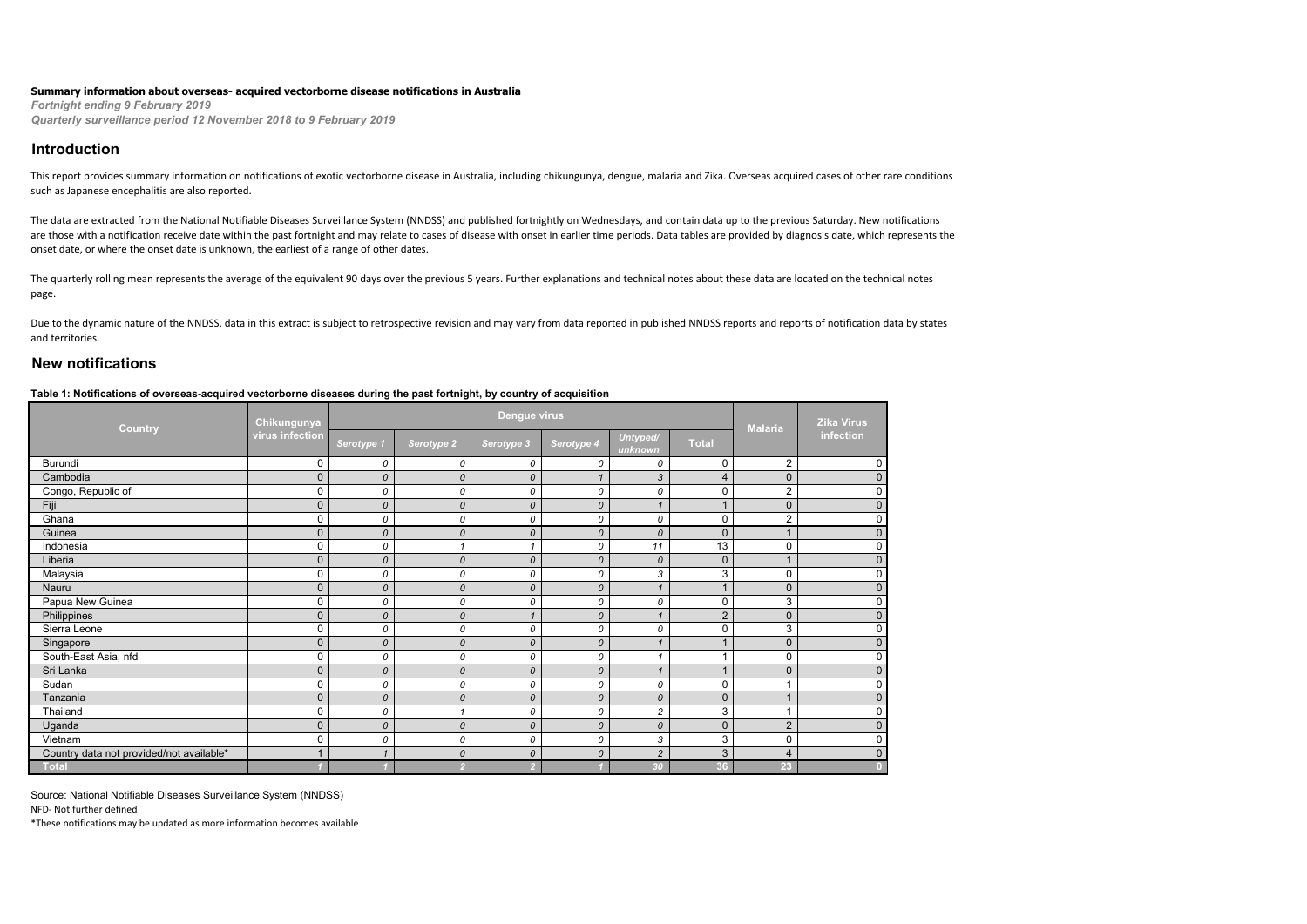#### **Summary information about overseas- acquired vectorborne disease notifications in Australia**

*Fortnight ending 9 February 2019 Quarterly surveillance period 12 November 2018 to 9 February 2019*

### **Introduction**

This report provides summary information on notifications of exotic vectorborne disease in Australia, including chikungunya, dengue, malaria and Zika. Overseas acquired cases of other rare conditions such as Japanese encephalitis are also reported.

The data are extracted from the National Notifiable Diseases Surveillance System (NNDSS) and published fortnightly on Wednesdays, and contain data up to the previous Saturday. New notifications are those with a notification receive date within the past fortnight and may relate to cases of disease with onset in earlier time periods. Data tables are provided by diagnosis date, which represents the onset date, or where the onset date is unknown, the earliest of a range of other dates.

The quarterly rolling mean represents the average of the equivalent 90 days over the previous 5 years. Further explanations and technical notes about these data are located on the technical notes page.

Due to the dynamic nature of the NNDSS, data in this extract is subject to retrospective revision and may vary from data reported in published NNDSS reports and reports of notification data by states and territories.

## **New notifications**

#### **Table 1: Notifications of overseas-acquired vectorborne diseases during the past fortnight, by country of acquisition**

| <b>Country</b>                           | Chikungunya     |                |                    | Dengue virus  |               |                     |                | <b>Malaria</b> | <b>Zika Virus</b> |
|------------------------------------------|-----------------|----------------|--------------------|---------------|---------------|---------------------|----------------|----------------|-------------------|
|                                          | virus infection | Serotype 1     | Serotype 2         | Serotype 3    | Serotype 4    | Untyped/<br>unknown | <b>Total</b>   |                | infection         |
| Burundi                                  | 0               | 0              | 0                  | 0             | 0             | 0                   | $\mathbf 0$    | $\overline{2}$ | $\Omega$          |
| Cambodia                                 | $\mathbf{0}$    | 0              | $\mathcal{O}$      | $\mathcal{O}$ | $\mathbf 1$   | 3                   | $\overline{4}$ | $\mathbf 0$    | $\mathbf{0}$      |
| Congo, Republic of                       | 0               | 0              | 0                  | 0             | 0             | 0                   | 0              | $\overline{2}$ | 0                 |
| Fiji                                     | $\mathbf{0}$    | 0              | $\mathcal{O}$      | $\mathcal{O}$ | $\mathcal{O}$ | 1                   | $\mathbf{1}$   | $\mathbf{0}$   | $\mathbf{0}$      |
| Ghana                                    | 0               | 0              | 0                  | 0             | 0             | 0                   | $\mathbf 0$    | $\overline{2}$ | $\Omega$          |
| Guinea                                   | $\mathbf{0}$    | 0              | $\mathcal{O}$      | $\mathcal{O}$ | $\mathcal{O}$ | 0                   | $\mathbf 0$    |                | $\Omega$          |
| Indonesia                                | 0               | 0              | $\mathbf{1}$       |               | 0             | 11                  | 13             | 0              | $\Omega$          |
| Liberia                                  | $\mathbf{0}$    | 0              | $\pmb{\mathit{O}}$ | $\mathcal{O}$ | $\mathcal{O}$ | 0                   | $\mathbf 0$    |                | $\mathbf{0}$      |
| Malaysia                                 | 0               | 0              | 0                  | 0             | 0             | 3                   | 3              | $\mathbf 0$    | $\Omega$          |
| Nauru                                    | $\mathbf{0}$    | 0              | $\mathcal{O}$      | $\mathcal{O}$ | $\mathcal{O}$ |                     | $\mathbf{1}$   | $\mathbf 0$    | $\Omega$          |
| Papua New Guinea                         | 0               | 0              | 0                  | 0             | 0             | 0                   | $\mathbf 0$    | 3              | 0                 |
| Philippines                              | $\mathbf{0}$    | 0              | $\mathcal{O}$      |               | $\mathcal{O}$ |                     | $\overline{2}$ | $\mathbf 0$    | $\mathbf{0}$      |
| Sierra Leone                             | 0               | 0              | 0                  | 0             | 0             | 0                   | $\mathbf 0$    | 3              | 0                 |
| Singapore                                | $\mathbf{0}$    | 0              | $\mathcal{O}$      | $\mathcal{O}$ | $\mathcal{O}$ | ۸                   | $\mathbf{1}$   | $\mathbf 0$    | $\Omega$          |
| South-East Asia, nfd                     | 0               | 0              | 0                  | 0             | 0             | 4                   | $\overline{ }$ | 0              | $\Omega$          |
| Sri Lanka                                | $\mathbf{0}$    | 0              | $\mathcal{O}$      | $\mathcal{O}$ | $\mathcal{O}$ | 1                   | $\mathbf{1}$   | $\mathbf 0$    | $\Omega$          |
| Sudan                                    | 0               | 0              | 0                  | 0             | 0             | 0                   | $\mathbf 0$    |                | $\Omega$          |
| Tanzania                                 | $\mathbf{0}$    | $\overline{O}$ | $\mathcal{O}$      | $\mathcal{O}$ | $\mathcal{O}$ | 0                   | $\mathbf{0}$   |                | $\mathbf{0}$      |
| Thailand                                 | 0               | 0              |                    | 0             | 0             | $\overline{c}$      | 3              |                | $\Omega$          |
| Uganda                                   | 0               | 0              | $\pmb{\mathit{O}}$ | $\mathcal{O}$ | 0             | 0                   | $\mathbf 0$    | $\overline{2}$ | $\Omega$          |
| Vietnam                                  | 0               | 0              | 0                  | 0             | 0             | 3                   | 3              | $\mathbf 0$    | $\Omega$          |
| Country data not provided/not available* | 4               |                | $\pmb{\mathit{O}}$ | $\mathcal{O}$ | $\mathcal{O}$ | $\overline{c}$      | 3              | $\overline{4}$ | $\mathbf{0}$      |
| <b>Total</b>                             |                 |                |                    |               |               | 30                  | 36             | 23             |                   |

Source: National Notifiable Diseases Surveillance System (NNDSS)

NFD- Not further defined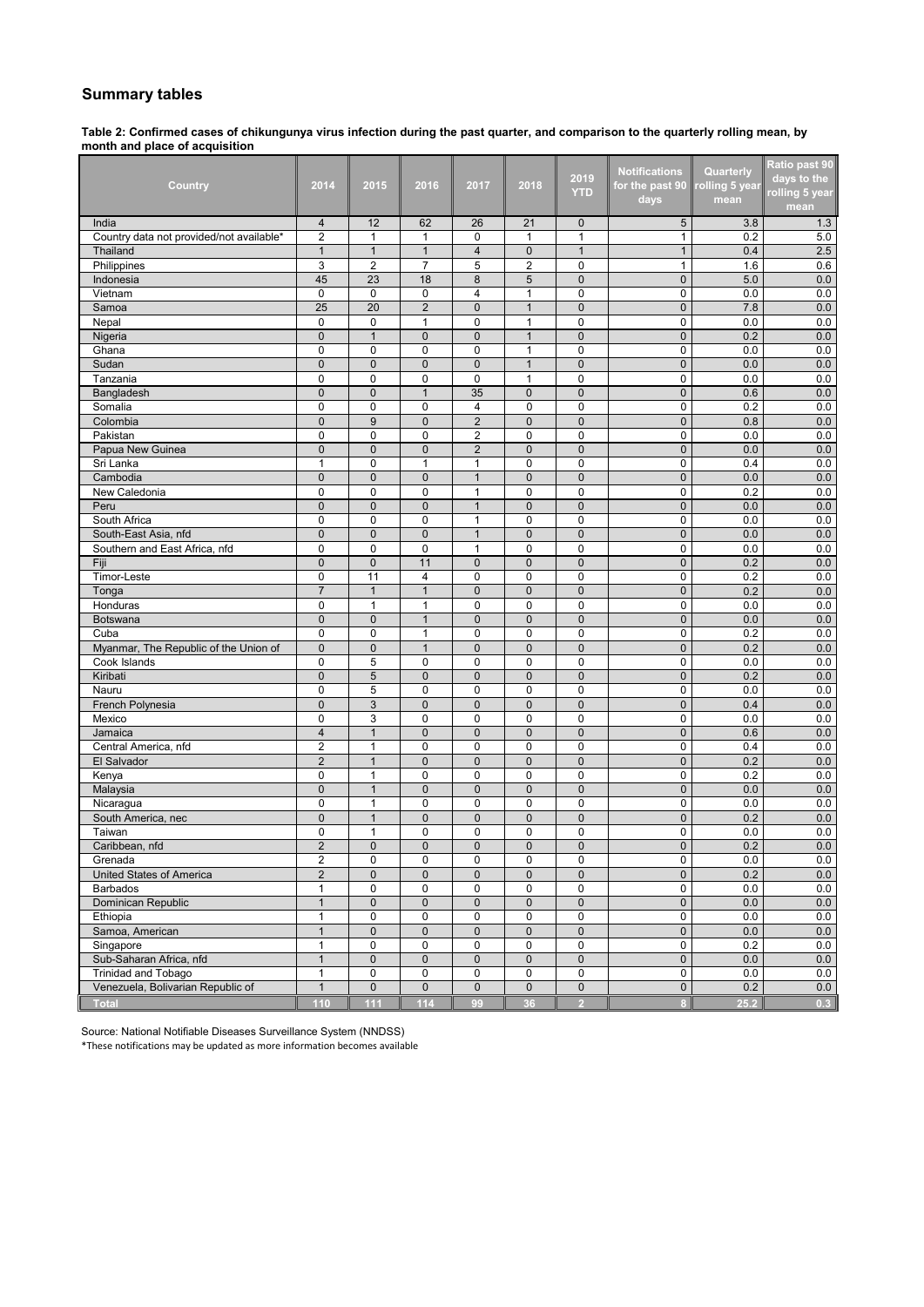## **Summary tables**

**Table 2: Confirmed cases of chikungunya virus infection during the past quarter, and comparison to the quarterly rolling mean, by month and place of acquisition**

| Country                                  | 2014           | 2015           | 2016           | 2017           | 2018           | 2019<br><b>YTD</b> | <b>Notifications</b><br>for the past 90 | Quarterly<br>rolling 5 year | Ratio past 90<br>days to the<br>rolling 5 year |
|------------------------------------------|----------------|----------------|----------------|----------------|----------------|--------------------|-----------------------------------------|-----------------------------|------------------------------------------------|
|                                          |                |                |                |                |                |                    | days                                    | mean                        | mean                                           |
| India                                    | $\overline{4}$ | 12             | 62             | 26             | 21             | $\mathbf{0}$       | 5                                       | 3.8                         | 1.3                                            |
| Country data not provided/not available* | $\overline{2}$ | $\mathbf{1}$   | $\mathbf{1}$   | 0              | $\mathbf{1}$   | $\mathbf{1}$       | $\mathbf{1}$                            | 0.2                         | 5.0                                            |
| Thailand                                 | 1              | $\mathbf{1}$   | $\mathbf{1}$   | $\overline{4}$ | $\mathbf 0$    | $\mathbf{1}$       | $\mathbf{1}$                            | 0.4                         | 2.5                                            |
| Philippines                              | 3              | $\overline{2}$ | $\overline{7}$ | 5              | $\overline{2}$ | 0                  | 1                                       | 1.6                         | 0.6                                            |
| Indonesia                                | 45             | 23             | 18             | 8              | 5              | $\mathbf 0$        | $\mathbf 0$                             | 5.0                         | 0.0                                            |
| Vietnam                                  | $\mathbf 0$    | 0              | $\mathbf 0$    | 4              | $\mathbf{1}$   | $\mathbf 0$        | $\mathbf 0$                             | 0.0                         | 0.0                                            |
| Samoa                                    | 25             | 20             | $\overline{c}$ | 0              | $\mathbf{1}$   | $\mathbf 0$        | $\mathbf 0$                             | 7.8                         | 0.0                                            |
| Nepal                                    | $\Omega$       | 0              | $\mathbf{1}$   | 0              | $\mathbf{1}$   | $\mathbf 0$        | $\mathbf 0$                             | 0.0                         | 0.0                                            |
| Nigeria                                  | $\mathbf 0$    | $\mathbf{1}$   | $\mathbf{0}$   | 0              | $\mathbf{1}$   | 0                  | $\mathbf 0$                             | 0.2                         | 0.0                                            |
| Ghana                                    | $\mathbf 0$    | 0              | 0              | 0              | $\mathbf{1}$   | 0                  | 0                                       | 0.0                         | 0.0                                            |
| Sudan                                    | $\mathbf 0$    | $\mathbf{0}$   | $\mathbf 0$    | 0              | $\mathbf{1}$   | $\pmb{0}$          | $\mathbf 0$                             | 0.0                         | 0.0                                            |
| Tanzania                                 | $\mathbf 0$    | 0              | 0              | $\mathbf 0$    | 1              | $\mathbf 0$        | $\mathbf 0$                             | 0.0                         | 0.0                                            |
| Bangladesh                               | $\mathbf{0}$   | $\mathbf{0}$   | $\mathbf{1}$   | 35             | $\mathbf{0}$   | $\mathbf{0}$       | $\mathbf 0$                             | 0.6                         | 0.0                                            |
| Somalia                                  | $\Omega$       | 0              | 0              | 4              | $\mathbf 0$    | $\mathbf 0$        | $\mathbf 0$                             | 0.2                         | 0.0                                            |
| Colombia                                 | $\mathbf 0$    | 9              | $\overline{0}$ | $\overline{2}$ | $\pmb{0}$      | $\mathbf{0}$       | $\mathbf 0$                             | 0.8                         | 0.0                                            |
| Pakistan                                 | $\mathbf 0$    | 0              | 0              | 2              | $\mathbf 0$    | $\mathbf 0$        | 0                                       | 0.0                         | 0.0                                            |
| Papua New Guinea                         | $\mathbf 0$    | $\mathbf 0$    | $\mathbf{0}$   | $\overline{2}$ | $\pmb{0}$      | $\mathbf 0$        | $\mathbf 0$                             | 0.0                         | 0.0                                            |
| Sri Lanka                                | 1              | 0              | 1              | $\mathbf{1}$   | $\mathbf 0$    | $\mathbf 0$        | $\mathbf 0$                             | 0.4                         | 0.0                                            |
| Cambodia                                 | $\overline{0}$ | $\mathbf 0$    | $\mathbf 0$    | $\mathbf{1}$   | $\pmb{0}$      | $\mathbf 0$        | $\mathbf{0}$                            | 0.0                         | 0.0                                            |
| New Caledonia                            | 0              | 0              | $\mathbf 0$    | 1              | $\pmb{0}$      | 0                  | 0                                       | 0.2                         | 0.0                                            |
| Peru                                     | $\mathbf{0}$   | $\mathbf{0}$   | $\overline{0}$ | $\mathbf{1}$   | 0              | $\mathbf 0$        | 0                                       | 0.0                         | 0.0                                            |
| South Africa                             | $\mathbf 0$    | 0              | 0              | 1              | 0              | 0                  | 0                                       | 0.0                         | 0.0                                            |
| South-East Asia, nfd                     | $\pmb{0}$      | $\mathbf{0}$   | $\mathbf 0$    | $\mathbf{1}$   | $\mathbf 0$    | $\pmb{0}$          | $\mathbf{0}$                            | 0.0                         | 0.0                                            |
| Southern and East Africa, nfd            | $\mathbf 0$    | 0              | 0              | 1              | $\mathbf 0$    | 0                  | $\mathbf 0$                             | 0.0                         | 0.0                                            |
| Fiji                                     | $\mathbf{0}$   | $\mathbf{0}$   | 11             | $\mathbf 0$    | $\mathbf{0}$   | $\mathbf 0$        | $\mathbf{0}$                            | 0.2                         | 0.0                                            |
| Timor-Leste                              | $\mathbf 0$    | 11             | 4              | 0              | $\mathbf 0$    | $\mathbf 0$        | $\mathbf 0$                             | 0.2                         | 0.0                                            |
| Tonga                                    | $\overline{7}$ | $\mathbf{1}$   | $\mathbf{1}$   | 0              | $\mathbf{0}$   | $\mathbf{0}$       | $\mathbf 0$                             | 0.2                         | 0.0                                            |
| Honduras                                 | 0              | 1              | 1              | 0              | 0              | 0                  | 0                                       | 0.0                         | 0.0                                            |
| Botswana                                 | $\mathbf{0}$   | $\mathbf{0}$   | $\mathbf{1}$   | $\mathbf 0$    | $\bf 0$        | $\mathbf 0$        | $\pmb{0}$                               | 0.0                         | 0.0                                            |
| Cuba                                     | $\mathbf 0$    | 0              | 1              | 0              | $\pmb{0}$      | 0                  | 0                                       | 0.2                         | 0.0                                            |
| Myanmar, The Republic of the Union of    | $\mathbf 0$    | $\mathbf 0$    | $\mathbf{1}$   | $\mathbf 0$    | $\pmb{0}$      | $\mathbf 0$        | $\mathbf 0$                             | 0.2                         | 0.0                                            |
| Cook Islands                             | $\mathbf 0$    | 5              | $\mathbf 0$    | 0              | $\mathbf 0$    | 0                  | 0                                       | 0.0                         | 0.0                                            |
| Kiribati                                 | $\mathbf 0$    | $\overline{5}$ | $\overline{0}$ | $\mathbf 0$    | $\mathbf 0$    | $\mathbf 0$        | $\mathbf 0$                             | 0.2                         | 0.0                                            |
| Nauru                                    | $\mathbf 0$    | 5              | 0              | 0              | 0              | 0                  | 0                                       | 0.0                         | 0.0                                            |
| French Polynesia                         | $\mathbf 0$    | 3              | $\pmb{0}$      | 0              | $\bf 0$        | $\mathbf 0$        | $\mathbf 0$                             | 0.4                         | 0.0                                            |
| Mexico                                   | $\mathbf 0$    | 3              | 0              | 0              | $\mathbf 0$    | 0                  | $\mathbf 0$                             | 0.0                         | 0.0                                            |
| Jamaica                                  | $\overline{4}$ | $\mathbf{1}$   | $\mathbf 0$    | $\mathbf{0}$   | $\mathbf 0$    | $\mathbf{0}$       | $\mathbf 0$                             | 0.6                         | 0.0                                            |
| Central America, nfd                     | $\overline{2}$ | $\mathbf{1}$   | $\mathbf 0$    | 0              | $\mathbf 0$    | $\mathbf 0$        | $\mathbf 0$                             | 0.4                         | 0.0                                            |
| El Salvador                              | $\overline{2}$ | $\mathbf{1}$   | $\overline{0}$ | $\overline{0}$ | $\mathbf{0}$   | $\mathbf{0}$       | $\mathbf 0$                             | 0.2                         | 0.0                                            |
| Kenya                                    | $\mathbf 0$    | $\mathbf{1}$   | 0              | 0              | $\mathbf 0$    | 0                  | 0                                       | 0.2                         | 0.0                                            |
| Malaysia                                 | $\mathbf{0}$   | $\mathbf{1}$   | $\mathbf 0$    | $\mathbf{0}$   | $\pmb{0}$      | $\mathbf{0}$       | $\pmb{0}$                               | 0.0                         | 0.0                                            |
| Nicaragua                                | $\mathbf 0$    | $\mathbf{1}$   | $\mathbf 0$    | 0              | $\mathbf 0$    | $\mathbf 0$        | 0                                       | 0.0                         | 0.0                                            |
| South America, nec                       | $\mathbf 0$    | $\mathbf{1}$   | $\mathbf{0}$   | $\mathbf{0}$   | $\pmb{0}$      | $\mathbf{0}$       | $\mathbf 0$                             | 0.2                         | 0.0                                            |
| Taiwan                                   | 0              | $\mathbf{1}$   | $\overline{0}$ | 0              | 0              | $\mathbf 0$        | 0                                       | 0.0                         | 0.0                                            |
| Caribbean, nfd                           | $\overline{2}$ | $\mathbf 0$    | $\overline{0}$ | $\overline{0}$ | $\overline{0}$ | $\mathbf{0}$       | $\mathbf{0}$                            | 0.2                         | 0.0                                            |
| Grenada                                  | 2              | 0              | 0              | 0              | 0              | 0                  | 0                                       | 0.0                         | 0.0                                            |
| United States of America                 | $\overline{2}$ | $\mathbf{0}$   | $\mathbf{0}$   | $\mathbf 0$    | $\mathbf 0$    | $\mathbf{0}$       | $\overline{0}$                          | 0.2                         | 0.0                                            |
| <b>Barbados</b>                          | $\mathbf{1}$   | 0              | 0              | 0              | 0              | 0                  | $\mathbf 0$                             | 0.0                         | 0.0                                            |
| Dominican Republic                       | $\mathbf{1}$   | $\pmb{0}$      | $\mathbf 0$    | $\mathbf 0$    | $\mathbf 0$    | $\mathbf 0$        | $\mathbf 0$                             | 0.0                         | 0.0                                            |
| Ethiopia                                 | $\mathbf{1}$   | $\pmb{0}$      | 0              | $\pmb{0}$      | 0              | $\pmb{0}$          | $\mathbf 0$                             | 0.0                         | $0.0\,$                                        |
| Samoa, American                          | $\mathbf{1}$   | $\mathbf{0}$   | $\mathbf 0$    | $\mathbf 0$    | $\mathbf 0$    | $\mathbf{0}$       | $\mathbf 0$                             | 0.0                         | 0.0                                            |
| Singapore                                | $\mathbf{1}$   | 0              | 0              | 0              | 0              | 0                  | 0                                       | 0.2                         | 0.0                                            |
| Sub-Saharan Africa, nfd                  | $\mathbf{1}$   | $\pmb{0}$      | $\pmb{0}$      | $\mathbf 0$    | $\mathbf 0$    | $\pmb{0}$          | $\mathbf 0$                             | 0.0                         | 0.0                                            |
| Trinidad and Tobago                      | $\mathbf{1}$   | 0              | $\pmb{0}$      | 0              | 0              | 0                  | $\mathbf 0$                             | 0.0                         | 0.0                                            |
| Venezuela, Bolivarian Republic of        | $\mathbf{1}$   | $\pmb{0}$      | $\pmb{0}$      | $\pmb{0}$      | $\overline{0}$ | $\pmb{0}$          | $\mathbf 0$                             | 0.2                         | 0.0                                            |
| <b>Total</b>                             | 110            | 111            | 114            | 99             | 36             | $\overline{2}$     | $\bf{8}$                                | 25.2                        | 0.3                                            |

Source: National Notifiable Diseases Surveillance System (NNDSS)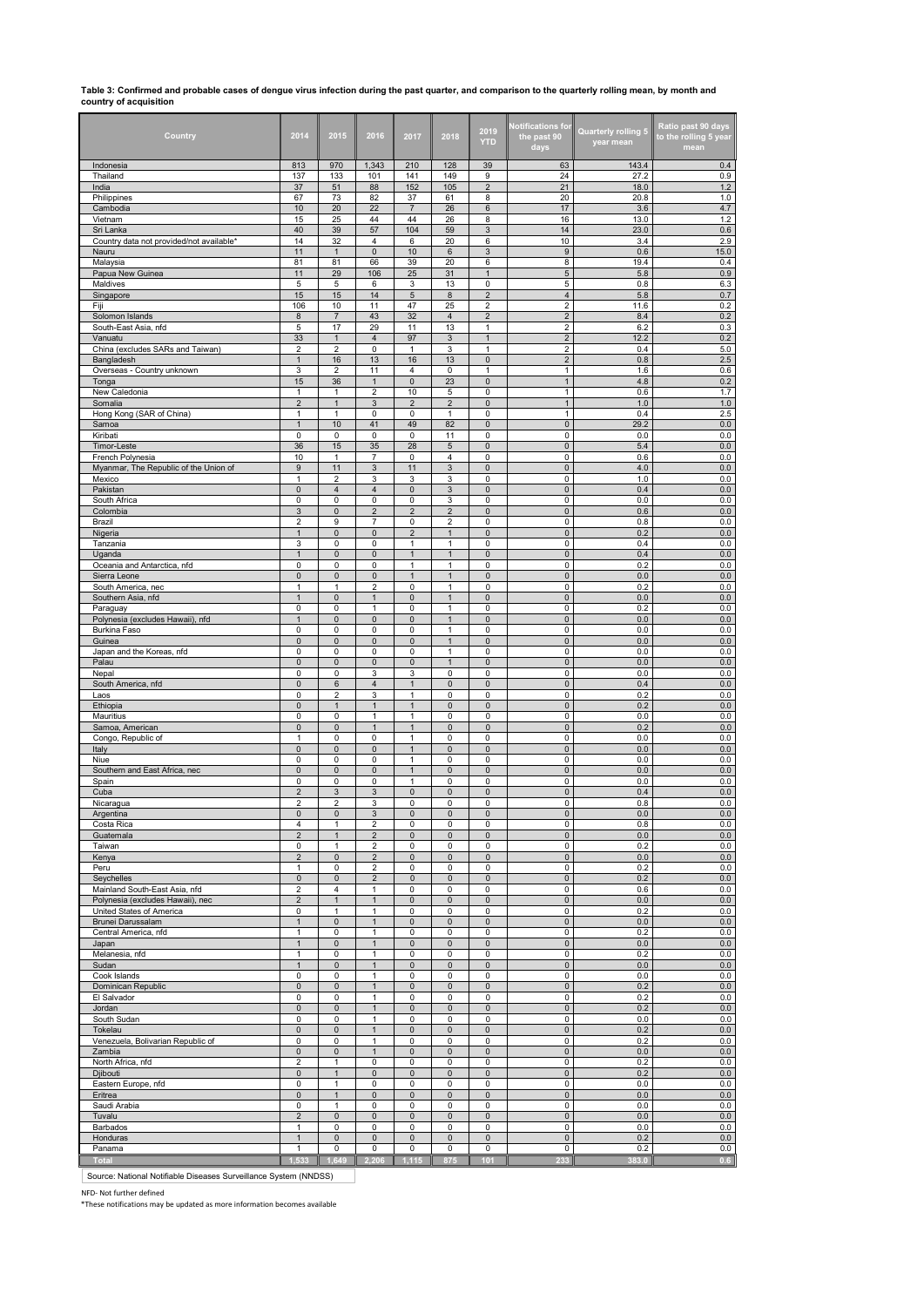# **Table 3: Confirmed and probable cases of dengue virus infection during the past quarter, and comparison to the quarterly rolling mean, by month and country of acquisition**

| Country                                                      | 2014                                                 | 2015                           | 2016                             | 2017                         | 2018                                      | 2019<br><b>YTD</b>             | <b>Notifications for</b><br>the past 90<br>days | <b>Quarterly rolling 5</b><br>year mean | Ratio past 90 days<br>to the rolling 5 year<br>mean |
|--------------------------------------------------------------|------------------------------------------------------|--------------------------------|----------------------------------|------------------------------|-------------------------------------------|--------------------------------|-------------------------------------------------|-----------------------------------------|-----------------------------------------------------|
| Indonesia                                                    | 813                                                  | 970                            | 1,343                            | 210                          | 128                                       | 39                             | 63                                              | 143.4                                   | 0.4                                                 |
| Thailand<br>India                                            | 137<br>37                                            | 133<br>51                      | 101<br>88                        | 141<br>152                   | 149<br>105                                | 9<br>$\overline{2}$            | 24<br>21                                        | 27.2<br>18.0                            | 0.9<br>1.2                                          |
| Philippines                                                  | 67                                                   | 73                             | 82                               | 37                           | 61                                        | 8                              | 20                                              | 20.8                                    | $1.0$                                               |
| Cambodia                                                     | 10                                                   | 20                             | 22                               | $\overline{7}$               | 26                                        | $\,6\,$                        | 17                                              | 3.6                                     | 4.7                                                 |
| Vietnam                                                      | 15                                                   | 25                             | 44                               | 44                           | 26                                        | 8                              | 16                                              | 13.0                                    | 1.2                                                 |
| Sri Lanka<br>Country data not provided/not available*        | 40<br>14                                             | 39<br>32                       | 57<br>4                          | 104<br>6                     | 59<br>20                                  | $\ensuremath{\mathsf{3}}$<br>6 | 14<br>10                                        | 23.0<br>3.4                             | 0.6<br>2.9                                          |
| Nauru                                                        | 11                                                   | $\mathbf{1}$                   | $\mathbf 0$                      | 10                           | 6                                         | 3                              | 9                                               | 0.6                                     | 15.0                                                |
| Malaysia                                                     | 81                                                   | 81                             | 66                               | 39                           | 20                                        | 6                              | 8                                               | 19.4                                    | 0.4                                                 |
| Papua New Guinea                                             | 11                                                   | 29                             | 106                              | 25                           | 31                                        | $\mathbf{1}$                   | $\sqrt{5}$                                      | 5.8                                     | 0.9                                                 |
| Maldives                                                     | 5<br>15                                              | 5<br>15                        | 6<br>14                          | 3<br>$\sqrt{5}$              | 13<br>$\bf 8$                             | 0<br>$\overline{\mathbf{c}}$   | 5<br>$\sqrt{4}$                                 | 0.8<br>5.8                              | 6.3<br>0.7                                          |
| Singapore<br>Fiji                                            | 106                                                  | 10                             | 11                               | 47                           | 25                                        | 2                              | $\overline{2}$                                  | 11.6                                    | 0.2                                                 |
| Solomon Islands                                              | 8                                                    | $\overline{7}$                 | 43                               | 32                           | $\overline{4}$                            | $\overline{\mathbf{c}}$        | $\sqrt{2}$                                      | 8.4                                     | 0.2                                                 |
| South-East Asia, nfd                                         | 5                                                    | 17                             | 29                               | 11                           | 13                                        | $\mathbf{1}$                   | $\overline{2}$                                  | 6.2                                     | 0.3                                                 |
| Vanuatu                                                      | 33                                                   | $\mathbf{1}$<br>$\overline{2}$ | $\overline{4}$<br>$\mathsf 0$    | 97<br>$\mathbf{1}$           | 3                                         | $\mathbf{1}$<br>$\mathbf{1}$   | $\sqrt{2}$                                      | 12.2                                    | 0.2                                                 |
| China (excludes SARs and Taiwan)<br>Bangladesh               | 2<br>$\overline{1}$                                  | 16                             | 13                               | 16                           | 3<br>13                                   | $\bf 0$                        | $\mathbf 2$<br>$\overline{2}$                   | 0.4<br>0.8                              | 5.0<br>2.5                                          |
| Overseas - Country unknown                                   | 3                                                    | $\overline{2}$                 | 11                               | 4                            | 0                                         | $\mathbf{1}$                   | $\mathbf{1}$                                    | 1.6                                     | 0.6                                                 |
| Tonga                                                        | 15                                                   | 36                             | $\mathbf{1}$                     | $\mathbf{0}$                 | 23                                        | $\mathbf 0$                    | $\mathbf{1}$                                    | 4.8                                     | 0.2                                                 |
| New Caledonia                                                | 1<br>$\overline{2}$                                  | $\mathbf{1}$                   | $\overline{2}$<br>$\mathbf{3}$   | 10<br>$\overline{2}$         | 5<br>$\overline{2}$                       | 0<br>$\mathbf 0$               | $\mathbf{1}$<br>$\mathbf{1}$                    | 0.6                                     | 1.7<br>$1.0\,$                                      |
| Somalia<br>Hong Kong (SAR of China)                          | $\mathbf{1}$                                         | $\mathbf{1}$<br>$\mathbf{1}$   | 0                                | 0                            | $\mathbf{1}$                              | 0                              | $\mathbf{1}$                                    | 1.0<br>0.4                              | 2.5                                                 |
| Samoa                                                        | $\mathbf{1}$                                         | 10                             | 41                               | 49                           | 82                                        | $\mathbf 0$                    | $\mathsf{O}\xspace$                             | 29.2                                    | $0.0\,$                                             |
| Kiribati                                                     | 0                                                    | $\pmb{0}$                      | $\pmb{0}$                        | 0                            | 11                                        | $\pmb{0}$                      | 0                                               | 0.0                                     | 0.0                                                 |
| Timor-Leste                                                  | 36                                                   | 15                             | 35                               | 28                           | $5\phantom{.0}$                           | $\mathsf{O}\xspace$            | $\mathsf{O}\xspace$                             | $5.4$                                   | $0.0\,$                                             |
| French Polynesia<br>Myanmar, The Republic of the Union of    | 10<br>9                                              | 1<br>11                        | $\overline{7}$<br>$\sqrt{3}$     | 0<br>11                      | 4<br>3                                    | 0<br>$\pmb{0}$                 | 0<br>$\pmb{0}$                                  | 0.6<br>4.0                              | 0.0<br>0.0                                          |
| Mexico                                                       | $\mathbf{1}$                                         | $\overline{2}$                 | 3                                | 3                            | 3                                         | 0                              | $\mathsf 0$                                     | 1.0                                     | 0.0                                                 |
| Pakistan                                                     | $\pmb{0}$                                            | $\overline{4}$                 | $\overline{4}$                   | $\mathbf 0$                  | 3                                         | $\pmb{0}$                      | $\pmb{0}$                                       | 0.4                                     | 0.0                                                 |
| South Africa                                                 | 0                                                    | 0                              | $\pmb{0}$                        | 0                            | 3                                         | $\pmb{0}$                      | $\mathsf 0$                                     | 0.0                                     | 0.0                                                 |
| Colombia<br>Brazil                                           | $\ensuremath{\mathsf{3}}$<br>$\overline{\mathbf{c}}$ | $\mathbf 0$<br>9               | $\overline{2}$<br>$\overline{7}$ | $\overline{2}$<br>0          | $\overline{2}$<br>$\overline{\mathbf{c}}$ | $\mathsf 0$<br>0               | $\mathsf{O}\xspace$<br>0                        | 0.6<br>0.8                              | 0.0<br>0.0                                          |
| Nigeria                                                      | $\mathbf{1}$                                         | 0                              | $\pmb{0}$                        | 2                            | $\mathbf{1}$                              | $\pmb{0}$                      | 0                                               | 0.2                                     | $0.0\,$                                             |
| Tanzania                                                     | 3                                                    | 0                              | $\pmb{0}$                        | 1                            | 1                                         | 0                              | 0                                               | 0.4                                     | 0.0                                                 |
| Uganda                                                       | $\mathbf{1}$                                         | $\pmb{0}$                      | $\mathbf 0$                      | $\mathbf{1}$                 | $\mathbf{1}$                              | $\mathbf 0$                    | $\pmb{0}$                                       | 0.4                                     | $0.0\,$                                             |
| Oceania and Antarctica, nfd<br>Sierra Leone                  | 0<br>$\pmb{0}$                                       | 0<br>$\mathbf 0$               | $\mathbf 0$<br>$\mathbf 0$       | $\mathbf{1}$<br>$\mathbf{1}$ | $\mathbf{1}$<br>$\mathbf{1}$              | $\pmb{0}$<br>$\mathsf 0$       | 0<br>$\mathsf{O}$                               | 0.2<br>0.0                              | 0.0<br>$0.0\,$                                      |
| South America, nec                                           | 1                                                    | $\mathbf{1}$                   | $\overline{\mathbf{c}}$          | 0                            | 1                                         | $\pmb{0}$                      | 0                                               | 0.2                                     | 0.0                                                 |
| Southern Asia, nfd                                           | $\mathbf{1}$                                         | $\pmb{0}$                      | $\mathbf{1}$                     | $\pmb{0}$                    | $\mathbf{1}$                              | $\pmb{0}$                      | $\pmb{0}$                                       | 0.0                                     | $0.0\,$                                             |
| Paraguay                                                     | 0                                                    | 0                              | $\mathbf{1}$                     | 0                            | 1                                         | 0                              | 0                                               | 0.2                                     | 0.0                                                 |
| Polynesia (excludes Hawaii), nfd<br>Burkina Faso             | $\mathbf{1}$<br>0                                    | $\mathbf{0}$<br>0              | $\pmb{0}$<br>$\mathbf 0$         | $\mathbf 0$<br>0             | $\mathbf{1}$<br>$\mathbf{1}$              | $\pmb{0}$<br>$\mathbf 0$       | $\pmb{0}$<br>$\mathbf 0$                        | 0.0<br>0.0                              | 0.0<br>0.0                                          |
| Guinea                                                       | $\pmb{0}$                                            | $\pmb{0}$                      | $\mathbf 0$                      | $\mathbf 0$                  | $\mathbf{1}$                              | $\pmb{0}$                      | $\mathbf 0$                                     | 0.0                                     | $0.0\,$                                             |
| Japan and the Koreas, nfd                                    | 0                                                    | 0                              | $\pmb{0}$                        | 0                            | $\mathbf{1}$                              | $\pmb{0}$                      | 0                                               | 0.0                                     | 0.0                                                 |
| Palau                                                        | $\pmb{0}$                                            | $\pmb{0}$                      | $\bf 0$                          | $\overline{0}$               | $\overline{1}$                            | $\bf 0$                        | $\pmb{0}$                                       | 0.0                                     | 0.0                                                 |
| Nepal<br>South America, nfd                                  | 0                                                    | 0                              | 3<br>$\overline{4}$              | 3<br>$\mathbf{1}$            | 0                                         | $\pmb{0}$<br>$\pmb{0}$         | 0<br>$\mathsf{O}\xspace$                        | 0.0<br>0.4                              | 0.0                                                 |
| Laos                                                         | $\pmb{0}$<br>0                                       | 6<br>2                         | 3                                | 1                            | $\pmb{0}$<br>0                            | 0                              | 0                                               | 0.2                                     | 0.0<br>0.0                                          |
| Ethiopia                                                     | $\mathsf 0$                                          | $\mathbf{1}$                   | $\overline{1}$                   | $\mathbf{1}$                 | $\pmb{0}$                                 | $\pmb{0}$                      | $\mathsf{O}\xspace$                             | 0.2                                     | $0.0\,$                                             |
| Mauritius                                                    | 0                                                    | 0                              | $\mathbf{1}$                     | $\mathbf{1}$                 | 0                                         | $\pmb{0}$                      | 0                                               | 0.0                                     | 0.0                                                 |
| Samoa, American<br>Congo, Republic of                        | $\mathsf 0$<br>1                                     | $\mathsf 0$<br>0               | $\mathbf{1}$<br>0                | $\mathbf{1}$<br>1            | $\mathsf 0$<br>0                          | $\mathsf 0$<br>0               | $\mathbf 0$<br>$\mathsf 0$                      | 0.2<br>0.0                              | 0.0<br>0.0                                          |
| Italy                                                        | $\pmb{0}$                                            | $\mathsf{O}\xspace$            | $\pmb{0}$                        | $\mathbf{1}$                 | $\mathsf{O}\xspace$                       | $\pmb{0}$                      | $\mathsf{O}\xspace$                             | 0.0                                     | $0.0\,$                                             |
| Niue                                                         | 0                                                    | 0                              | 0                                | 1                            | 0                                         | 0                              | 0                                               | 0.0                                     | 0.0                                                 |
| Southern and East Africa, nec                                | $\pmb{0}$                                            | 0                              | $\pmb{0}$                        | $\mathbf{1}$                 | 0                                         | $\pmb{0}$                      | $\mathsf{O}\xspace$                             | $0.0\,$                                 | 0.0                                                 |
| Spain                                                        | 0<br>$\overline{2}$                                  | 0                              | 0                                | 1<br>$\mathbf 0$             | 0                                         | 0                              | 0                                               | 0.0<br>0.4                              | 0.0                                                 |
| Cuba<br>Nicaragua                                            | $\overline{2}$                                       | $\mathbf{3}$<br>$\overline{c}$ | $\mathbf{3}$<br>3                | 0                            | $\pmb{0}$<br>0                            | $\pmb{0}$<br>0                 | $\pmb{0}$<br>0                                  | 0.8                                     | $0.0\,$<br>0.0                                      |
| Argentina                                                    | 0                                                    | 0                              | 3                                | 0                            | $\mathbf 0$                               | 0                              | 0                                               | 0.0                                     | 0.0                                                 |
| Costa Rica                                                   | 4                                                    | $\mathbf{1}$                   | $\overline{\mathbf{c}}$          | 0                            | 0                                         | 0                              | 0                                               | 0.8                                     | 0.0                                                 |
| Guatemala                                                    | $\mathbf 2$                                          | $\mathbf{1}$                   | $\overline{c}$                   | $\pmb{0}$                    | 0                                         | $\pmb{0}$                      | $\mathsf{O}\xspace$                             | $0.0\,$                                 | 0.0                                                 |
| Taiwan<br>Kenya                                              | 0<br>$\mathbf 2$                                     | 1<br>$\mathbf{0}$              | $\overline{2}$<br>$\overline{c}$ | 0<br>$\mathbf 0$             | 0<br>$\pmb{0}$                            | 0<br>$\pmb{0}$                 | 0<br>$\mathsf{O}\xspace$                        | 0.2<br>0.0                              | 0.0<br>$0.0\,$                                      |
| Peru                                                         | 1                                                    | 0                              | $\overline{2}$                   | 0                            | 0                                         | $\pmb{0}$                      | $\mathsf 0$                                     | 0.2                                     | 0.0                                                 |
| Seychelles                                                   | $\mathsf{O}\xspace$                                  | $\mathbf 0$                    | $\overline{2}$                   | $\mathsf{O}\xspace$          | $\mathbf 0$                               | $\mathsf 0$                    | $\mathsf{O}\xspace$                             | 0.2                                     | 0.0                                                 |
| Mainland South-East Asia, nfd                                | $\mathbf 2$                                          | $\overline{4}$                 | $\mathbf{1}$                     | 0                            | 0                                         | 0                              | $\mathsf 0$                                     | 0.6                                     | 0.0                                                 |
| Polynesia (excludes Hawaii), nec<br>United States of America | $\mathbf 2$<br>$\mathsf 0$                           | $\mathbf{1}$<br>1              | $\mathbf 1$<br>$\mathbf{1}$      | $\pmb{0}$<br>0               | $\pmb{0}$<br>0                            | $\pmb{0}$<br>0                 | $\mathsf{O}\xspace$<br>0                        | $0.0\,$<br>0.2                          | 0.0<br>0.0                                          |
| Brunei Darussalam                                            | $\mathbf{1}$                                         | $\mathbf 0$                    | $\overline{1}$                   | $\pmb{0}$                    | $\pmb{0}$                                 | $\pmb{0}$                      | $\pmb{0}$                                       | $0.0\,$                                 | $0.0\,$                                             |
| Central America, nfd                                         | $\mathbf{1}$                                         | 0                              | $\mathbf{1}$                     | 0                            | 0                                         | 0                              | 0                                               | 0.2                                     | 0.0                                                 |
| Japan                                                        | $\mathbf{1}$                                         | $\mathbf 0$                    | $\overline{1}$                   | $\mathbf 0$                  | $\pmb{0}$                                 | $\pmb{0}$                      | $\pmb{0}$                                       | 0.0                                     | 0.0                                                 |
| Melanesia, nfd<br>Sudan                                      | $\mathbf{1}$<br>$\mathbf{1}$                         | 0<br>$\mathbf 0$               | $\mathbf{1}$<br>$\mathbf{1}$     | 0<br>$\mathbf 0$             | 0<br>$\mathbf 0$                          | 0<br>$\mathbf 0$               | 0<br>$\mathsf 0$                                | 0.2<br>0.0                              | 0.0<br>0.0                                          |
| Cook Islands                                                 | 0                                                    | 0                              | $\mathbf{1}$                     | 0                            | 0                                         | $\pmb{0}$                      | 0                                               | 0.0                                     | 0.0                                                 |
| Dominican Republic                                           | $\mathsf 0$                                          | $\pmb{0}$                      | $\mathbf{1}$                     | $\pmb{0}$                    | $\mathsf 0$                               | $\pmb{0}$                      | $\mathsf{O}\xspace$                             | 0.2                                     | 0.0                                                 |
| El Salvador                                                  | 0                                                    | 0                              | $\mathbf{1}$                     | 0                            | 0                                         | 0                              | 0                                               | 0.2                                     | 0.0                                                 |
| Jordan<br>South Sudan                                        | $\pmb{0}$<br>0                                       | $\pmb{0}$<br>$\pmb{0}$         | $\mathbf{1}$<br>$\mathbf{1}$     | 0<br>0                       | $\pmb{0}$<br>0                            | $\pmb{0}$<br>$\pmb{0}$         | $\mathsf{O}\xspace$<br>$\mathsf 0$              | 0.2<br>0.0                              | 0.0<br>0.0                                          |
| Tokelau                                                      | 0                                                    | $\mathbf 0$                    | $\mathbf{1}$                     | 0                            | 0                                         | $\pmb{0}$                      | $\mathbf 0$                                     | 0.2                                     | 0.0                                                 |
| Venezuela, Bolivarian Republic of                            | 0                                                    | 0                              | 1                                | 0                            | 0                                         | 0                              | $\mathbf 0$                                     | 0.2                                     | 0.0                                                 |
| Zambia                                                       | $\pmb{0}$                                            | $\pmb{0}$                      | $\mathbf{1}$                     | $\bf 0$                      | $\mathbf 0$                               | $\bf 0$                        | $\mathsf{O}\xspace$                             | $0.0\,$                                 | $0.0\,$                                             |
| North Africa, nfd<br>Djibouti                                | 2<br>$\pmb{0}$                                       | $\mathbf{1}$                   | $\pmb{0}$<br>$\pmb{0}$           | 0<br>$\pmb{0}$               | 0<br>$\pmb{0}$                            | 0<br>$\pmb{0}$                 | 0<br>$\mathsf{O}\xspace$                        | 0.2<br>0.2                              | 0.0<br>0.0                                          |
| Eastern Europe, nfd                                          | 0                                                    | $\mathbf{1}$<br>$\mathbf{1}$   | 0                                | 0                            | 0                                         | 0                              | 0                                               | 0.0                                     | 0.0                                                 |
| Eritrea                                                      | $\pmb{0}$                                            | $\mathbf{1}$                   | $\bf 0$                          | 0                            | $\pmb{0}$                                 | $\pmb{0}$                      | 0                                               | 0.0                                     | 0.0                                                 |
| Saudi Arabia                                                 | 0                                                    | $\mathbf{1}$                   | 0                                | 0                            | 0                                         | 0                              | 0                                               | 0.0                                     | 0.0                                                 |
| Tuvalu                                                       | $\overline{2}$<br>$\mathbf{1}$                       | $\mathbf 0$                    | $\bf 0$<br>$\pmb{0}$             | $\pmb{0}$<br>0               | $\pmb{0}$<br>0                            | $\pmb{0}$                      | $\mathsf{O}\xspace$<br>0                        | 0.0                                     | 0.0<br>$0.0\,$                                      |
| Barbados<br>Honduras                                         | $\mathbf{1}$                                         | 0<br>$\mathsf 0$               | $\pmb{0}$                        | 0                            | $\mathsf{O}\xspace$                       | 0<br>$\pmb{0}$                 | $\mathsf{O}\xspace$                             | 0.0<br>0.2                              | 0.0                                                 |
| Panama                                                       | 1                                                    | 0                              | $\pmb{0}$                        | 0                            | 0                                         | 0                              | $\mathbf 0$                                     | 0.2                                     | 0.0                                                 |
| <b>Total</b>                                                 | 1.533                                                | 1.649                          | 2.206                            | 1,115                        | 875                                       | 101                            | 233                                             | 383.0                                   | 0.6                                                 |

Source: National Notifiable Diseases Surveillance System (NNDSS)

NFD- Not further defined \*These notifications may be updated as more information becomes available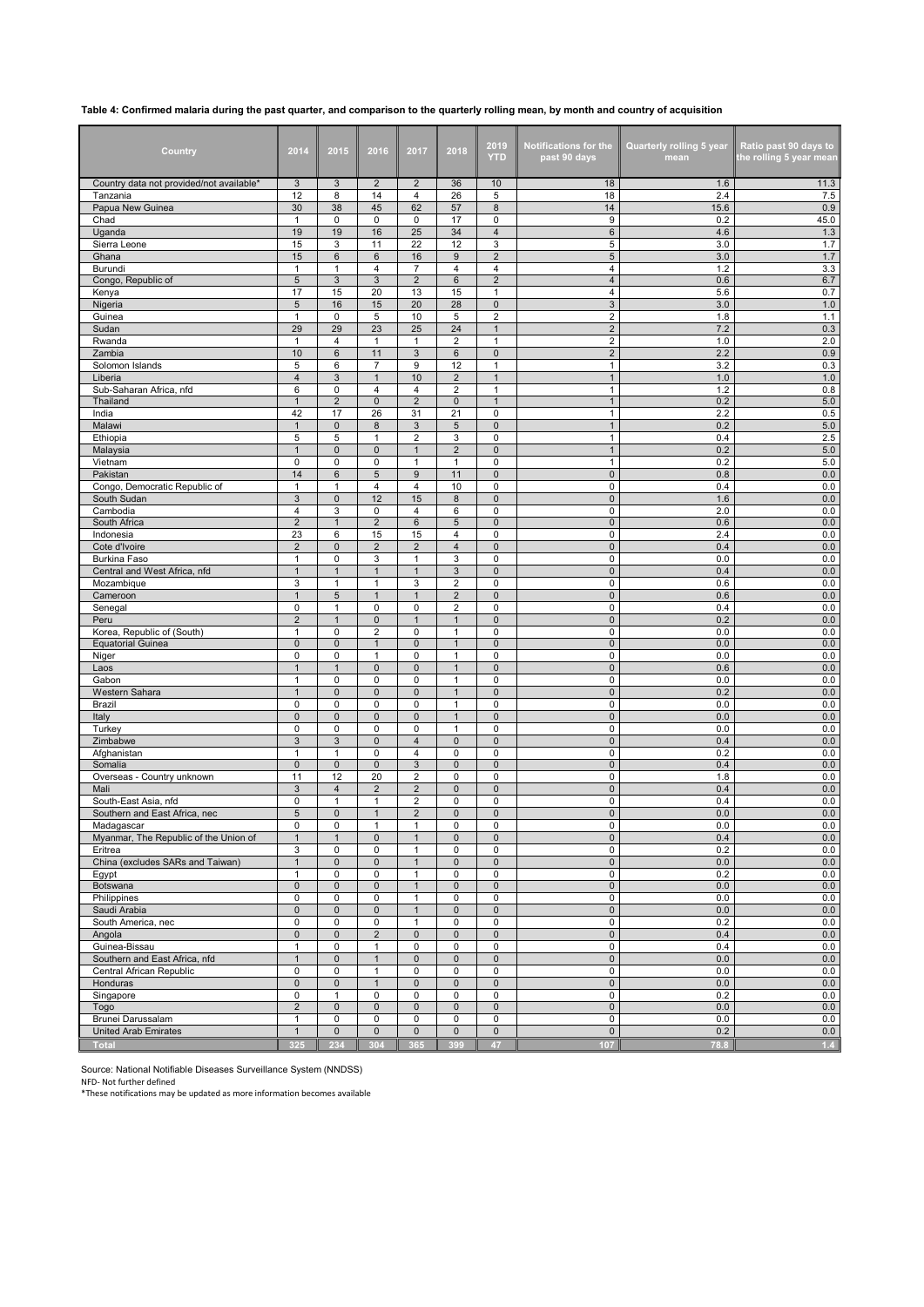## **Table 4: Confirmed malaria during the past quarter, and comparison to the quarterly rolling mean, by month and country of acquisition**

| Country                                               | 2014                           | 2015                         | 2016                                    | 2017                             | 2018                         | 2019<br>YTD                   | <b>Notifications for the</b><br>past 90 days | <b>Quarterly rolling 5 year</b><br>mean | Ratio past 90 days to<br>the rolling 5 year mean |
|-------------------------------------------------------|--------------------------------|------------------------------|-----------------------------------------|----------------------------------|------------------------------|-------------------------------|----------------------------------------------|-----------------------------------------|--------------------------------------------------|
| Country data not provided/not available*              | 3<br>12                        | 3<br>8                       | $\overline{2}$<br>14                    | $\overline{2}$                   | 36<br>26                     | 10                            | 18<br>18                                     | 1.6<br>2.4                              | 11.3<br>7.5                                      |
| Tanzania<br>Papua New Guinea                          | 30                             | 38                           | 45                                      | $\overline{4}$<br>62             | 57                           | 5<br>8                        | 14                                           | 15.6                                    | 0.9                                              |
| Chad                                                  | $\mathbf{1}$                   | 0                            | 0                                       | 0                                | 17                           | 0                             | 9                                            | 0.2                                     | 45.0                                             |
| Uganda                                                | 19                             | 19                           | 16                                      | 25                               | 34                           | 4                             | $6\phantom{1}$                               | 4.6                                     | 1.3                                              |
| Sierra Leone<br>Ghana                                 | 15<br>15                       | 3<br>6                       | 11<br>6                                 | 22<br>16                         | 12<br>$\boldsymbol{9}$       | 3<br>$\overline{2}$           | 5<br>$\sqrt{5}$                              | 3.0<br>3.0                              | $1.7$<br>1.7                                     |
| Burundi                                               | $\mathbf{1}$                   | $\mathbf{1}$                 | $\overline{4}$                          | $\overline{7}$                   | $\overline{4}$               | $\overline{4}$                | 4                                            | 1.2                                     | 3.3                                              |
| Congo, Republic of                                    | $\sqrt{5}$                     | 3                            | 3                                       | $\overline{2}$                   | $6\phantom{1}6$              | $\overline{2}$                | $\overline{4}$                               | 0.6                                     | 6.7                                              |
| Kenya                                                 | 17                             | 15                           | 20                                      | 13                               | 15                           | $\mathbf{1}$                  | $\overline{4}$                               | 5.6                                     | 0.7                                              |
| Nigeria<br>Guinea                                     | 5<br>1                         | 16<br>0                      | 15<br>5                                 | 20<br>10                         | 28<br>5                      | $\mathsf 0$<br>$\overline{2}$ | $\ensuremath{\mathsf{3}}$<br>$\overline{c}$  | 3.0<br>1.8                              | $1.0$<br>1.1                                     |
| Sudan                                                 | 29                             | 29                           | 23                                      | 25                               | 24                           | $\mathbf{1}$                  | $\sqrt{2}$                                   | 7.2                                     | 0.3                                              |
| Rwanda                                                | $\mathbf{1}$                   | $\overline{4}$               | $\mathbf{1}$                            | 1                                | $\overline{2}$               | $\mathbf{1}$                  | $\mathbf 2$                                  | 1.0                                     | 2.0                                              |
| Zambia                                                | 10                             | $6\phantom{1}$               | 11                                      | 3                                | $6\phantom{1}6$              | $\pmb{0}$                     | $\overline{2}$                               | 2.2                                     | 0.9                                              |
| Solomon Islands<br>Liberia                            | 5<br>$\overline{4}$            | 6<br>3                       | $\overline{7}$<br>$\mathbf{1}$          | 9<br>10                          | 12<br>$\overline{2}$         | $\mathbf{1}$<br>$\mathbf{1}$  | $\mathbf{1}$<br>$\mathbf{1}$                 | 3.2<br>1.0                              | 0.3<br>1.0                                       |
| Sub-Saharan Africa, nfd                               | 6                              | $\mathbf 0$                  | 4                                       | $\overline{4}$                   | $\overline{2}$               | $\mathbf{1}$                  | $\mathbf{1}$                                 | 1.2                                     | 0.8                                              |
| Thailand                                              | $\mathbf{1}$                   | $\overline{2}$               | $\mathsf 0$                             | $\overline{2}$                   | $\mathbf 0$                  | $\mathbf{1}$                  | $\mathbf{1}$                                 | 0.2                                     | $5.0\,$                                          |
| India                                                 | 42                             | 17                           | 26                                      | 31                               | 21                           | 0                             | $\mathbf{1}$                                 | 2.2                                     | 0.5                                              |
| Malawi<br>Ethiopia                                    | $\mathbf{1}$<br>5              | $\pmb{0}$<br>5               | 8<br>$\mathbf{1}$                       | 3<br>$\overline{2}$              | 5<br>3                       | $\mathsf 0$<br>$\mathbf 0$    | $\mathbf{1}$<br>$\mathbf{1}$                 | 0.2<br>0.4                              | $5.0\,$<br>2.5                                   |
| Malaysia                                              | $\mathbf{1}$                   | $\mathbf 0$                  | $\mathbf 0$                             | $\mathbf{1}$                     | $\overline{2}$               | $\pmb{0}$                     | $\mathbf{1}$                                 | 0.2                                     | $5.0\,$                                          |
| Vietnam                                               | 0                              | 0                            | 0                                       | 1                                | $\mathbf{1}$                 | 0                             | $\mathbf{1}$                                 | 0.2                                     | 5.0                                              |
| Pakistan                                              | 14                             | 6                            | 5                                       | $9\,$                            | 11                           | 0                             | $\pmb{0}$                                    | 0.8                                     | $0.0\,$                                          |
| Congo, Democratic Republic of<br>South Sudan          | 1<br>$\ensuremath{\mathsf{3}}$ | 1<br>$\mathbf{0}$            | 4<br>12                                 | 4<br>15                          | 10<br>8                      | 0<br>$\mathbf 0$              | 0<br>$\mathbf 0$                             | 0.4<br>1.6                              | $0.0\,$<br>$0.0\,$                               |
| Cambodia                                              | $\overline{4}$                 | 3                            | 0                                       | $\overline{4}$                   | 6                            | 0                             | 0                                            | 2.0                                     | $0.0\,$                                          |
| South Africa                                          | $\overline{2}$                 | $\mathbf{1}$                 | $\overline{2}$                          | 6                                | 5                            | $\pmb{0}$                     | $\pmb{0}$                                    | 0.6                                     | $0.0\,$                                          |
| Indonesia                                             | 23                             | 6                            | 15                                      | 15                               | 4                            | 0                             | $\pmb{0}$                                    | 2.4                                     | $0.0\,$                                          |
| Cote d'Ivoire                                         | $\overline{2}$                 | $\pmb{0}$                    | $\overline{2}$                          | $\overline{2}$                   | $\overline{4}$               | $\mathsf 0$                   | $\pmb{0}$                                    | 0.4                                     | $0.0\,$                                          |
| <b>Burkina Faso</b><br>Central and West Africa, nfd   | $\mathbf{1}$<br>$\mathbf{1}$   | 0<br>$\mathbf{1}$            | 3<br>$\mathbf{1}$                       | 1<br>$\mathbf{1}$                | 3<br>$\sqrt{3}$              | $\mathbf 0$<br>$\pmb{0}$      | 0<br>$\pmb{0}$                               | 0.0<br>0.4                              | 0.0<br>$0.0\,$                                   |
| Mozambique                                            | 3                              | 1                            | 1                                       | 3                                | $\overline{2}$               | 0                             | 0                                            | 0.6                                     | 0.0                                              |
| Cameroon                                              | $\overline{1}$                 | 5                            | $\mathbf{1}$                            | $\mathbf{1}$                     | $\overline{2}$               | 0                             | $\pmb{0}$                                    | 0.6                                     | $0.0\,$                                          |
| Senegal                                               | $\pmb{0}$                      | 1                            | 0                                       | 0                                | $\overline{2}$               | 0                             | 0                                            | 0.4                                     | $0.0\,$                                          |
| Peru<br>Korea, Republic of (South)                    | $\overline{2}$<br>$\mathbf{1}$ | $\mathbf{1}$<br>0            | $\mathbf{0}$<br>$\overline{\mathbf{c}}$ | $\mathbf{1}$<br>0                | $\mathbf{1}$<br>$\mathbf{1}$ | $\pmb{0}$<br>0                | $\mathbf 0$<br>0                             | 0.2<br>0.0                              | $0.0\,$<br>$0.0\,$                               |
| <b>Equatorial Guinea</b>                              | $\mathbf 0$                    | $\pmb{0}$                    | $\mathbf 1$                             | 0                                | $\mathbf 1$                  | 0                             | $\pmb{0}$                                    | 0.0                                     | $0.0\,$                                          |
| Niger                                                 | $\mathbf 0$                    | 0                            | $\mathbf{1}$                            | 0                                | $\mathbf{1}$                 | 0                             | $\pmb{0}$                                    | 0.0                                     | 0.0                                              |
| Laos                                                  | $\mathbf{1}$                   | $\mathbf{1}$                 | $\mathbf{0}$                            | $\mathbf{0}$                     | $\mathbf{1}$                 | $\mathsf 0$                   | $\pmb{0}$                                    | 0.6                                     | $0.0\,$                                          |
| Gabon<br>Western Sahara                               | $\mathbf{1}$<br>$\mathbf{1}$   | 0<br>$\mathbf{0}$            | 0<br>$\mathbf{0}$                       | 0<br>$\mathbf{0}$                | $\mathbf{1}$<br>$\mathbf{1}$ | 0<br>$\pmb{0}$                | 0<br>$\pmb{0}$                               | 0.0<br>0.2                              | 0.0<br>$0.0\,$                                   |
| Brazil                                                | 0                              | 0                            | 0                                       | 0                                | $\mathbf{1}$                 | 0                             | $\pmb{0}$                                    | 0.0                                     | 0.0                                              |
| Italy                                                 | $\mathbf 0$                    | $\mathbf{0}$                 | $\mathbf{0}$                            | $\mathbf{0}$                     | $\mathbf{1}$                 | 0                             | $\pmb{0}$                                    | 0.0                                     | $0.0\,$                                          |
| Turkey                                                | 0                              | $\mathbf 0$                  | 0                                       | 0                                | $\mathbf{1}$                 | 0                             | $\pmb{0}$                                    | 0.0                                     | $0.0\,$                                          |
| Zimbabwe<br>Afghanistan                               | 3<br>$\mathbf{1}$              | 3<br>$\mathbf{1}$            | $\mathbf{0}$<br>$\mathbf 0$             | $\overline{4}$<br>4              | $\mathbf 0$<br>$\mathbf 0$   | $\mathbf 0$<br>0              | $\mathbf 0$<br>0                             | 0.4<br>0.2                              | $0.0\,$<br>0.0                                   |
| Somalia                                               | $\pmb{0}$                      | $\pmb{0}$                    | $\mathbf 0$                             | 3                                | $\pmb{0}$                    | $\pmb{0}$                     | $\pmb{0}$                                    | 0.4                                     | $0.0\,$                                          |
| Overseas - Country unknown                            | 11                             | 12                           | 20                                      | $\overline{2}$                   | $\mathbf 0$                  | 0                             | $\pmb{0}$                                    | 1.8                                     | 0.0                                              |
| Mali                                                  | $\mathbf{3}$                   | $\overline{4}$               | $\overline{2}$                          | $\overline{2}$                   | $\mathbf 0$                  | $\mathsf 0$                   | $\pmb{0}$                                    | 0.4                                     | $0.0\,$                                          |
| South-East Asia, nfd<br>Southern and East Africa, nec | $\mathbf 0$<br>5               | 1<br>$\mathbf{0}$            | 1<br>$\mathbf{1}$                       | $\overline{2}$<br>$\overline{2}$ | 0<br>$\mathbf{0}$            | 0<br>$\mathbf 0$              | 0<br>$\mathbf{0}$                            | 0.4<br>0.0                              | 0.0<br>0.0                                       |
| Madagascar                                            | 0                              | 0                            | 1                                       | 1                                | 0                            | 0                             | 0                                            | 0.0                                     | 0.0                                              |
| Myanmar, The Republic of the Union of                 | $\mathbf{1}$                   | $\mathbf{1}$                 | $\mathsf 0$                             | $\mathbf{1}$                     | $\mathbf 0$                  | $\pmb{0}$                     | $\pmb{0}$                                    | 0.4                                     | $0.0\,$                                          |
| Eritrea                                               | 3                              | 0<br>$\mathbf{0}$            | 0                                       | $\mathbf{1}$                     | 0                            | 0                             | $\pmb{0}$                                    | 0.2                                     | 0.0                                              |
| China (excludes SARs and Taiwan)<br>Egypt             | $\mathbf{1}$<br>$\mathbf{1}$   | 0                            | $\mathsf 0$<br>0                        | $\mathbf{1}$<br>$\mathbf{1}$     | $\mathbf 0$<br>$\pmb{0}$     | $\mathbf 0$<br>0              | $\mathsf{O}\xspace$<br>0                     | 0.0<br>0.2                              | 0.0<br>0.0                                       |
| Botswana                                              | $\pmb{0}$                      | 0                            | $\mathsf 0$                             | 1                                | $\mathbf 0$                  | $\mathbf 0$                   | $\pmb{0}$                                    | 0.0                                     | 0.0                                              |
| Philippines                                           | $\mathbf 0$                    | 0                            | 0                                       | $\mathbf{1}$                     | $\mathbf 0$                  | 0                             | $\pmb{0}$                                    | 0.0                                     | 0.0                                              |
| Saudi Arabia                                          | $\pmb{0}$                      | $\mathbf{0}$                 | $\pmb{0}$                               | $\mathbf{1}$                     | $\mathsf{O}\xspace$          | $\pmb{0}$                     | $\pmb{0}$                                    | $0.0\,$                                 | 0.0                                              |
| South America, nec<br>Angola                          | 0<br>$\pmb{0}$                 | 0<br>$\mathbf 0$             | 0<br>$\overline{2}$                     | $\mathbf{1}$<br>$\mathbf 0$      | 0<br>$\mathbf 0$             | 0<br>$\mathsf{O}\xspace$      | 0<br>$\pmb{0}$                               | 0.2<br>0.4                              | 0.0<br>0.0                                       |
| Guinea-Bissau                                         | 1                              | 0                            | $\mathbf{1}$                            | 0                                | $\mathbf 0$                  | 0                             | 0                                            | 0.4                                     | 0.0                                              |
| Southern and East Africa, nfd                         | $\mathbf{1}$                   | $\pmb{0}$                    | $\mathbf{1}$                            | $\pmb{0}$                        | $\mathsf{O}\xspace$          | $\mathbf 0$                   | $\pmb{0}$                                    | 0.0                                     | $0.0\,$                                          |
| Central African Republic                              | $\mathbf 0$                    | 0                            | 1                                       | 0                                | $\mathbf 0$                  | $\pmb{0}$                     | $\pmb{0}$                                    | 0.0                                     | 0.0                                              |
| Honduras<br>Singapore                                 | $\pmb{0}$<br>0                 | $\mathbf{0}$<br>$\mathbf{1}$ | $\mathbf{1}$<br>0                       | $\mathbf 0$<br>0                 | $\mathbf 0$<br>$\pmb{0}$     | $\mathbf 0$<br>0              | $\mathbf 0$<br>0                             | 0.0<br>0.2                              | 0.0<br>0.0                                       |
| Togo                                                  | $\mathbf 2$                    | $\pmb{0}$                    | $\mathsf 0$                             | $\pmb{0}$                        | $\mathbf 0$                  | $\mathbf 0$                   | $\pmb{0}$                                    | 0.0                                     | 0.0                                              |
| Brunei Darussalam                                     | $\mathbf{1}$                   | 0                            | 0                                       | $\pmb{0}$                        | $\pmb{0}$                    | 0                             | $\pmb{0}$                                    | 0.0                                     | 0.0                                              |
| <b>United Arab Emirates</b>                           | $\mathbf{1}$                   | $\pmb{0}$                    | $\mathbf 0$                             | $\pmb{0}$                        | $\mathsf{O}\xspace$          | $\mathsf{O}\xspace$           | $\mathsf{O}\xspace$                          | 0.2                                     | 0.0                                              |
| <b>Total</b>                                          | 325                            | 234                          | 304                                     | 365                              | 399                          | 47                            | 107                                          | 78.8                                    | 1.4                                              |

Source: National Notifiable Diseases Surveillance System (NNDSS) NFD- Not further defined